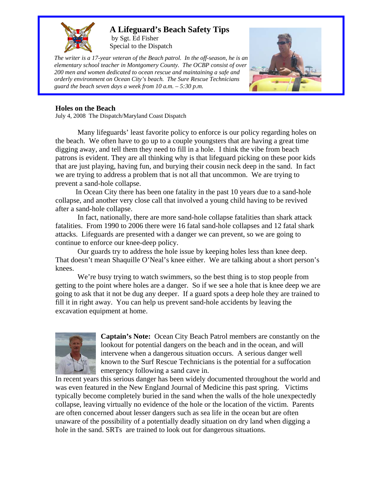

## **A Lifeguard's Beach Safety Tips**

by Sgt. Ed Fisher Special to the Dispatch

*The writer is a 17-year veteran of the Beach patrol. In the off-season, he is an elementary school teacher in Montgomery County. The OCBP consist of over 200 men and women dedicated to ocean rescue and maintaining a safe and orderly environment on Ocean City's beach. The Sure Rescue Technicians guard the beach seven days a week from 10 a.m. – 5:30 p.m.* 



## **Holes on the Beach**

July 4, 2008 The Dispatch/Maryland Coast Dispatch

Many lifeguards' least favorite policy to enforce is our policy regarding holes on the beach. We often have to go up to a couple youngsters that are having a great time digging away, and tell them they need to fill in a hole. I think the vibe from beach patrons is evident. They are all thinking why is that lifeguard picking on these poor kids that are just playing, having fun, and burying their cousin neck deep in the sand. In fact we are trying to address a problem that is not all that uncommon. We are trying to prevent a sand-hole collapse.

 In Ocean City there has been one fatality in the past 10 years due to a sand-hole collapse, and another very close call that involved a young child having to be revived after a sand-hole collapse.

 In fact, nationally, there are more sand-hole collapse fatalities than shark attack fatalities. From 1990 to 2006 there were 16 fatal sand-hole collapses and 12 fatal shark attacks. Lifeguards are presented with a danger we can prevent, so we are going to continue to enforce our knee-deep policy.

Our guards try to address the hole issue by keeping holes less than knee deep. That doesn't mean Shaquille O'Neal's knee either. We are talking about a short person's knees.

We're busy trying to watch swimmers, so the best thing is to stop people from getting to the point where holes are a danger. So if we see a hole that is knee deep we are going to ask that it not be dug any deeper. If a guard spots a deep hole they are trained to fill it in right away. You can help us prevent sand-hole accidents by leaving the excavation equipment at home.



**Captain's Note:** Ocean City Beach Patrol members are constantly on the lookout for potential dangers on the beach and in the ocean, and will intervene when a dangerous situation occurs. A serious danger well known to the Surf Rescue Technicians is the potential for a suffocation emergency following a sand cave in.

In recent years this serious danger has been widely documented throughout the world and was even featured in the New England Journal of Medicine this past spring. Victims typically become completely buried in the sand when the walls of the hole unexpectedly collapse, leaving virtually no evidence of the hole or the location of the victim. Parents are often concerned about lesser dangers such as sea life in the ocean but are often unaware of the possibility of a potentially deadly situation on dry land when digging a hole in the sand. SRTs are trained to look out for dangerous situations.